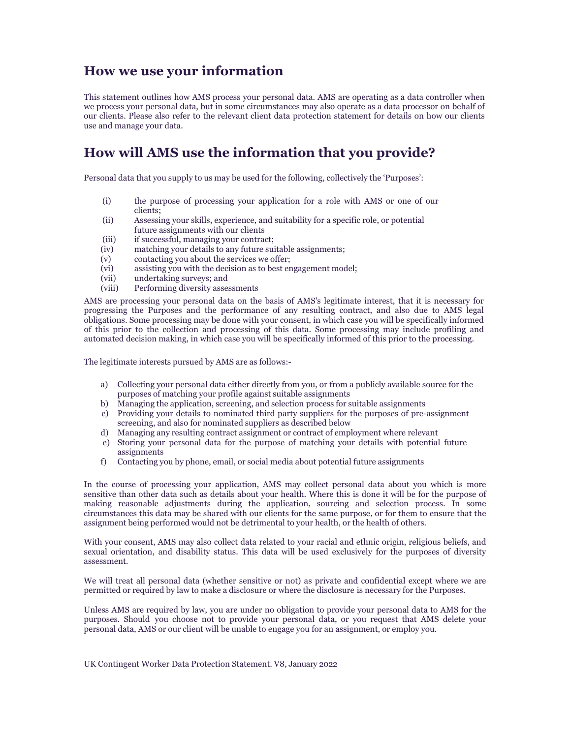### **How we use your information**

This statement outlines how AMS process your personal data. AMS are operating as a data controller when we process your personal data, but in some circumstances may also operate as a data processor on behalf of our clients. Please also refer to the relevant client data protection statement for details on how our clients use and manage your data.

# **How will AMS use the information that you provide?**

Personal data that you supply to us may be used for the following, collectively the 'Purposes':

- (i) the purpose of processing your application for a role with AMS or one of our clients;
- (ii) Assessing your skills, experience, and suitability for a specific role, or potential future assignments with our clients
- (iii) if successful, managing your contract;
- (iv) matching your details to any future suitable assignments;
- (v) contacting you about the services we offer;<br>(vi) assisting you with the decision as to best en
- (vi) assisting you with the decision as to best engagement model;<br>(vii) undertaking surveys; and
- (vii) undertaking surveys; and<br>(viii) Performing diversity asses
- Performing diversity assessments

AMS are processing your personal data on the basis of AMS's legitimate interest, that it is necessary for progressing the Purposes and the performance of any resulting contract, and also due to AMS legal obligations. Some processing may be done with your consent, in which case you will be specifically informed of this prior to the collection and processing of this data. Some processing may include profiling and automated decision making, in which case you will be specifically informed of this prior to the processing.

The legitimate interests pursued by AMS are as follows:-

- a) Collecting your personal data either directly from you, or from a publicly available source for the purposes of matching your profile against suitable assignments
- b) Managing the application, screening, and selection process for suitable assignments
- c) Providing your details to nominated third party suppliers for the purposes of pre-assignment screening, and also for nominated suppliers as described below
- d) Managing any resulting contract assignment or contract of employment where relevant
- e) Storing your personal data for the purpose of matching your details with potential future assignments
- f) Contacting you by phone, email, or social media about potential future assignments

In the course of processing your application, AMS may collect personal data about you which is more sensitive than other data such as details about your health. Where this is done it will be for the purpose of making reasonable adjustments during the application, sourcing and selection process. In some circumstances this data may be shared with our clients for the same purpose, or for them to ensure that the assignment being performed would not be detrimental to your health, or the health of others.

With your consent, AMS may also collect data related to your racial and ethnic origin, religious beliefs, and sexual orientation, and disability status. This data will be used exclusively for the purposes of diversity assessment.

We will treat all personal data (whether sensitive or not) as private and confidential except where we are permitted or required by law to make a disclosure or where the disclosure is necessary for the Purposes.

Unless AMS are required by law, you are under no obligation to provide your personal data to AMS for the purposes. Should you choose not to provide your personal data, or you request that AMS delete your personal data, AMS or our client will be unable to engage you for an assignment, or employ you.

UK Contingent Worker Data Protection Statement. V8, January 2022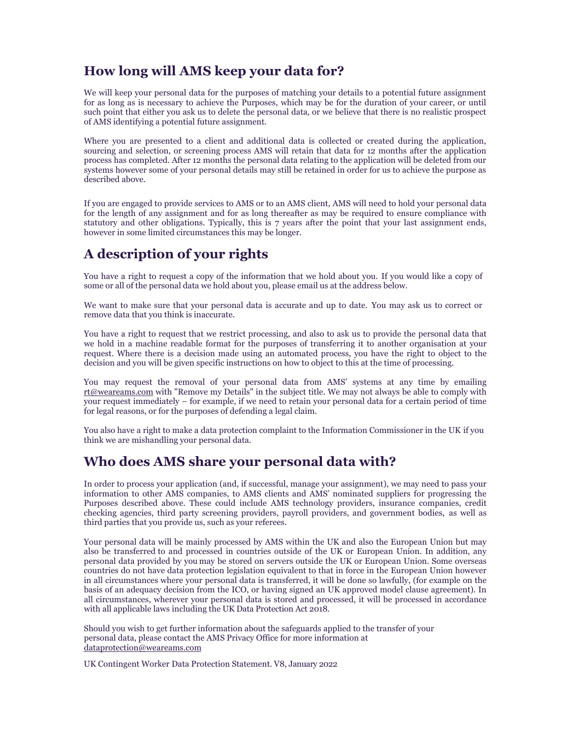## **How long will AMS keep your data for?**

We will keep your personal data for the purposes of matching your details to a potential future assignment for as long as is necessary to achieve the Purposes, which may be for the duration of your career, or until such point that either you ask us to delete the personal data, or we believe that there is no realistic prospect of AMS identifying a potential future assignment.

Where you are presented to a client and additional data is collected or created during the application, sourcing and selection, or screening process AMS will retain that data for 12 months after the application process has completed. After 12 months the personal data relating to the application will be deleted from our systems however some of your personal details may still be retained in order for us to achieve the purpose as described above.

If you are engaged to provide services to AMS or to an AMS client, AMS will need to hold your personal data for the length of any assignment and for as long thereafter as may be required to ensure compliance with statutory and other obligations. Typically, this is 7 years after the point that your last assignment ends, however in some limited circumstances this may be longer.

# **A description of your rights**

You have a right to request a copy of the information that we hold about you. If you would like a copy of some or all of the personal data we hold about you, please email us at the address below.

We want to make sure that your personal data is accurate and up to date. You may ask us to correct or remove data that you think is inaccurate.

You have a right to request that we restrict processing, and also to ask us to provide the personal data that we hold in a machine readable format for the purposes of transferring it to another organisation at your request. Where there is a decision made using an automated process, you have the right to object to the decision and you will be given specific instructions on how to object to this at the time of processing.

You may request the removal of your personal data from AMS' systems at any time by emailing [rt@weareams.com](mailto:rt@weareams.com) with "Remove my Details" in the subject title. We may not always be able to comply with [your request i](mailto:rt@alexmann.com)mmediately – for example, if we need to retain your personal data for a certain period of time for legal reasons, or for the purposes of defending a legal claim.

You also have a right to make a data protection complaint to the Information Commissioner in the UK if you think we are mishandling your personal data.

#### **Who does AMS share your personal data with?**

In order to process your application (and, if successful, manage your assignment), we may need to pass your information to other AMS companies, to AMS clients and AMS' nominated suppliers for progressing the Purposes described above. These could include AMS technology providers, insurance companies, credit checking agencies, third party screening providers, payroll providers, and government bodies, as well as third parties that you provide us, such as your referees.

Your personal data will be mainly processed by AMS within the UK and also the European Union but may also be transferred to and processed in countries outside of the UK or European Union. In addition, any personal data provided by you may be stored on servers outside the UK or European Union. Some overseas countries do not have data protection legislation equivalent to that in force in the European Union however in all circumstances where your personal data is transferred, it will be done so lawfully, (for example on the basis of an adequacy decision from the ICO, or having signed an UK approved model clause agreement). In all circumstances, wherever your personal data is stored and processed, it will be processed in accordance with all applicable laws including the UK Data Protection Act 2018.

Should you wish to get further information about the safeguards applied to the transfer of your personal data, please contact the AMS Privacy Office for more information at [dataprotection@weareams.com](mailto:dataprotection@alexmann.com)

UK Contingent Worker Data Protection Statement. V8, January 2022